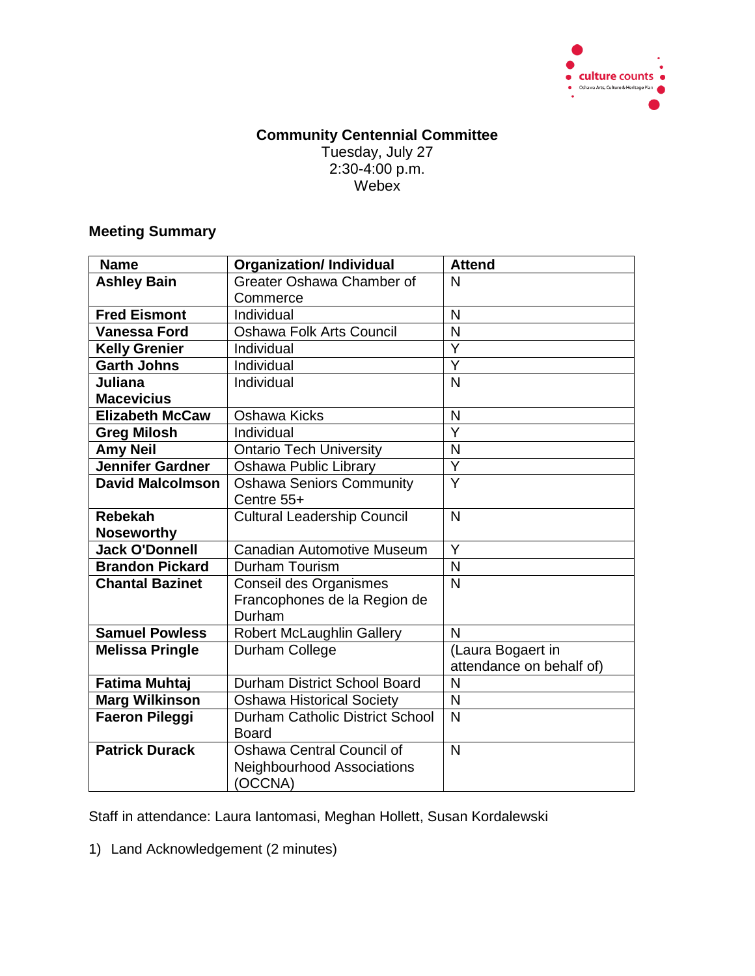

## **Community Centennial Committee** Tuesday, July 27 2:30-4:00 p.m. Webex<sup>1</sup>

## **Meeting Summary**

| <b>Name</b>             | <b>Organization/Individual</b>         | <b>Attend</b>            |
|-------------------------|----------------------------------------|--------------------------|
| <b>Ashley Bain</b>      | Greater Oshawa Chamber of              | N                        |
|                         | Commerce                               |                          |
| <b>Fred Eismont</b>     | Individual                             | N                        |
| <b>Vanessa Ford</b>     | <b>Oshawa Folk Arts Council</b>        | N                        |
| <b>Kelly Grenier</b>    | Individual                             | Ÿ                        |
| <b>Garth Johns</b>      | Individual                             | $\overline{\mathsf{Y}}$  |
| Juliana                 | Individual                             | $\overline{\mathsf{N}}$  |
| <b>Macevicius</b>       |                                        |                          |
| <b>Elizabeth McCaw</b>  | <b>Oshawa Kicks</b>                    | N                        |
| <b>Greg Milosh</b>      | Individual                             | $\overline{\mathsf{Y}}$  |
| <b>Amy Neil</b>         | <b>Ontario Tech University</b>         | N                        |
| <b>Jennifer Gardner</b> | <b>Oshawa Public Library</b>           | $\overline{Y}$           |
| <b>David Malcolmson</b> | <b>Oshawa Seniors Community</b>        | $\overline{\mathsf{Y}}$  |
|                         | Centre 55+                             |                          |
| <b>Rebekah</b>          | <b>Cultural Leadership Council</b>     | N                        |
| <b>Noseworthy</b>       |                                        |                          |
| <b>Jack O'Donnell</b>   | <b>Canadian Automotive Museum</b>      | Y                        |
| <b>Brandon Pickard</b>  | Durham Tourism                         | N                        |
| <b>Chantal Bazinet</b>  | Conseil des Organismes                 | N                        |
|                         | Francophones de la Region de           |                          |
|                         | Durham                                 |                          |
| <b>Samuel Powless</b>   | <b>Robert McLaughlin Gallery</b>       | $\mathsf{N}$             |
| <b>Melissa Pringle</b>  | Durham College                         | (Laura Bogaert in        |
|                         |                                        | attendance on behalf of) |
| <b>Fatima Muhtaj</b>    | Durham District School Board           | N                        |
| <b>Marg Wilkinson</b>   | <b>Oshawa Historical Society</b>       | N                        |
| Faeron Pileggi          | <b>Durham Catholic District School</b> | $\mathsf{N}$             |
|                         | <b>Board</b>                           |                          |
| <b>Patrick Durack</b>   | <b>Oshawa Central Council of</b>       | $\mathsf{N}$             |
|                         | <b>Neighbourhood Associations</b>      |                          |
|                         | (OCCNA)                                |                          |

Staff in attendance: Laura Iantomasi, Meghan Hollett, Susan Kordalewski

1) Land Acknowledgement (2 minutes)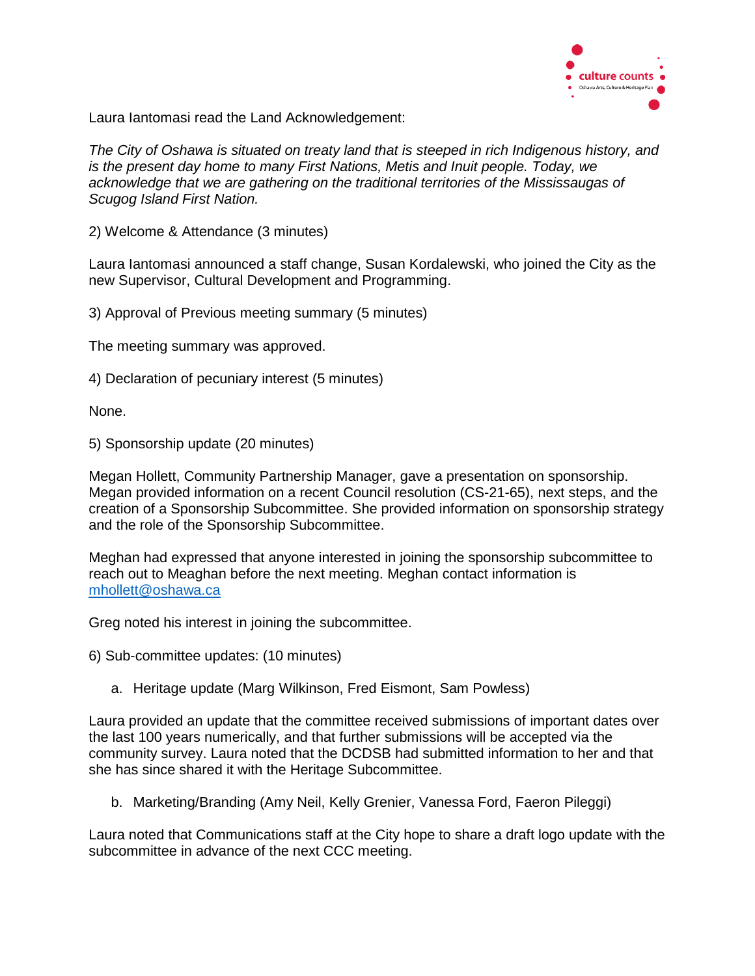

Laura Iantomasi read the Land Acknowledgement:

*The City of Oshawa is situated on treaty land that is steeped in rich Indigenous history, and is the present day home to many First Nations, Metis and Inuit people. Today, we acknowledge that we are gathering on the traditional territories of the Mississaugas of Scugog Island First Nation.*

2) Welcome & Attendance (3 minutes)

Laura Iantomasi announced a staff change, Susan Kordalewski, who joined the City as the new Supervisor, Cultural Development and Programming.

3) Approval of Previous meeting summary (5 minutes)

The meeting summary was approved.

4) Declaration of pecuniary interest (5 minutes)

None.

5) Sponsorship update (20 minutes)

Megan Hollett, Community Partnership Manager, gave a presentation on sponsorship. Megan provided information on a recent Council resolution (CS-21-65), next steps, and the creation of a Sponsorship Subcommittee. She provided information on sponsorship strategy and the role of the Sponsorship Subcommittee.

Meghan had expressed that anyone interested in joining the sponsorship subcommittee to reach out to Meaghan before the next meeting. Meghan contact information is [mhollett@oshawa.ca](mailto:mhollett@oshawa.ca)

Greg noted his interest in joining the subcommittee.

6) Sub-committee updates: (10 minutes)

a. Heritage update (Marg Wilkinson, Fred Eismont, Sam Powless)

Laura provided an update that the committee received submissions of important dates over the last 100 years numerically, and that further submissions will be accepted via the community survey. Laura noted that the DCDSB had submitted information to her and that she has since shared it with the Heritage Subcommittee.

b. Marketing/Branding (Amy Neil, Kelly Grenier, Vanessa Ford, Faeron Pileggi)

Laura noted that Communications staff at the City hope to share a draft logo update with the subcommittee in advance of the next CCC meeting.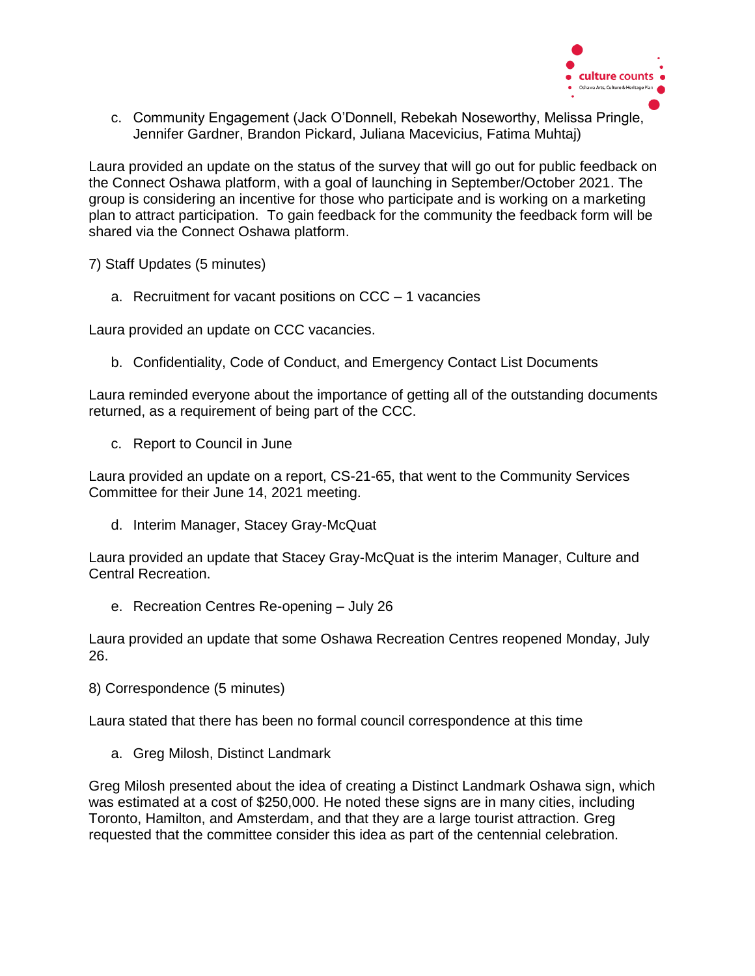

c. Community Engagement (Jack O'Donnell, Rebekah Noseworthy, Melissa Pringle, Jennifer Gardner, Brandon Pickard, Juliana Macevicius, Fatima Muhtaj)

Laura provided an update on the status of the survey that will go out for public feedback on the Connect Oshawa platform, with a goal of launching in September/October 2021. The group is considering an incentive for those who participate and is working on a marketing plan to attract participation. To gain feedback for the community the feedback form will be shared via the Connect Oshawa platform.

7) Staff Updates (5 minutes)

a. Recruitment for vacant positions on CCC – 1 vacancies

Laura provided an update on CCC vacancies.

b. Confidentiality, Code of Conduct, and Emergency Contact List Documents

Laura reminded everyone about the importance of getting all of the outstanding documents returned, as a requirement of being part of the CCC.

c. Report to Council in June

Laura provided an update on a report, CS-21-65, that went to the Community Services Committee for their June 14, 2021 meeting.

d. Interim Manager, Stacey Gray-McQuat

Laura provided an update that Stacey Gray-McQuat is the interim Manager, Culture and Central Recreation.

e. Recreation Centres Re-opening – July 26

Laura provided an update that some Oshawa Recreation Centres reopened Monday, July 26.

8) Correspondence (5 minutes)

Laura stated that there has been no formal council correspondence at this time

a. Greg Milosh, Distinct Landmark

Greg Milosh presented about the idea of creating a Distinct Landmark Oshawa sign, which was estimated at a cost of \$250,000. He noted these signs are in many cities, including Toronto, Hamilton, and Amsterdam, and that they are a large tourist attraction. Greg requested that the committee consider this idea as part of the centennial celebration.